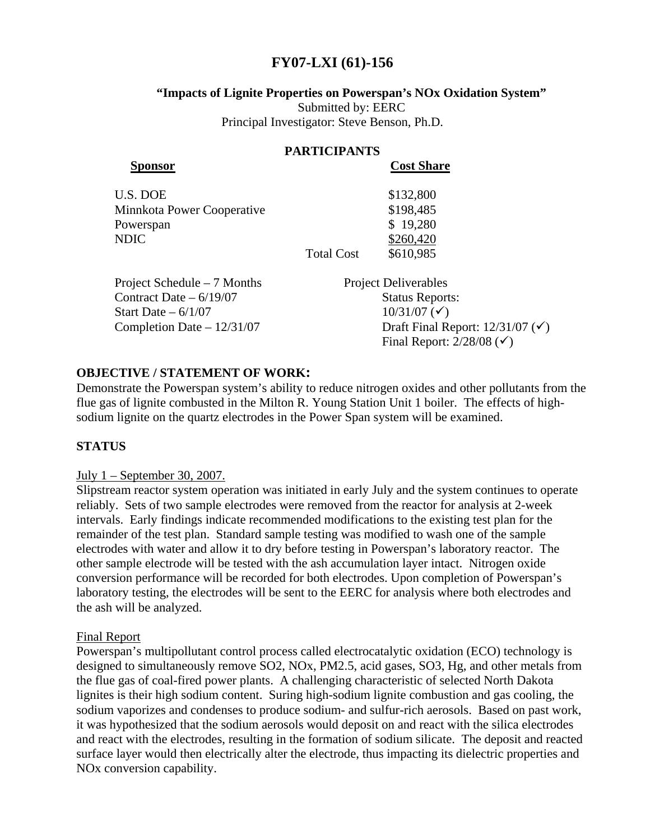# **FY07-LXI (61)-156**

# **"Impacts of Lignite Properties on Powerspan's NOx Oxidation System"**

Submitted by: EERC Principal Investigator: Steve Benson, Ph.D.

#### **PARTICIPANTS Sponsor Cost Share**

| OUDV DAMA V                 |  |
|-----------------------------|--|
| \$132,800                   |  |
| \$198,485                   |  |
| \$19,280                    |  |
| \$260,420                   |  |
| \$610,985                   |  |
| <b>Droigot Dolivarables</b> |  |
|                             |  |

Project Schedule – 7 Months Project Deliverables Contract Date – 6/19/07 Status Reports: Start Date –  $6/1/07$  10/31/07 ( $\checkmark$ ) Completion Date –  $12/31/07$  Draft Final Report:  $12/31/07$  ( $\checkmark$ ) Final Report:  $2/28/08$  ( $\checkmark$ )

# **OBJECTIVE / STATEMENT OF WORK:**

Demonstrate the Powerspan system's ability to reduce nitrogen oxides and other pollutants from the flue gas of lignite combusted in the Milton R. Young Station Unit 1 boiler. The effects of highsodium lignite on the quartz electrodes in the Power Span system will be examined.

# **STATUS**

# July 1 – September 30, 2007.

Slipstream reactor system operation was initiated in early July and the system continues to operate reliably. Sets of two sample electrodes were removed from the reactor for analysis at 2-week intervals. Early findings indicate recommended modifications to the existing test plan for the remainder of the test plan. Standard sample testing was modified to wash one of the sample electrodes with water and allow it to dry before testing in Powerspan's laboratory reactor. The other sample electrode will be tested with the ash accumulation layer intact. Nitrogen oxide conversion performance will be recorded for both electrodes. Upon completion of Powerspan's laboratory testing, the electrodes will be sent to the EERC for analysis where both electrodes and the ash will be analyzed.

# Final Report

Powerspan's multipollutant control process called electrocatalytic oxidation (ECO) technology is designed to simultaneously remove SO2, NOx, PM2.5, acid gases, SO3, Hg, and other metals from the flue gas of coal-fired power plants. A challenging characteristic of selected North Dakota lignites is their high sodium content. Suring high-sodium lignite combustion and gas cooling, the sodium vaporizes and condenses to produce sodium- and sulfur-rich aerosols. Based on past work, it was hypothesized that the sodium aerosols would deposit on and react with the silica electrodes and react with the electrodes, resulting in the formation of sodium silicate. The deposit and reacted surface layer would then electrically alter the electrode, thus impacting its dielectric properties and NOx conversion capability.